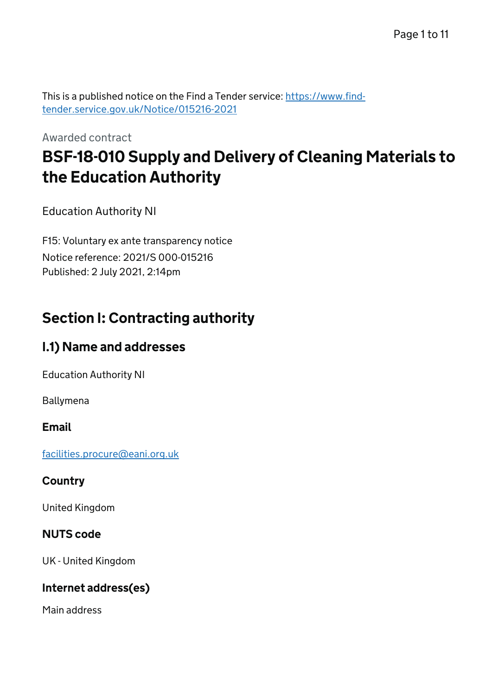This is a published notice on the Find a Tender service: [https://www.find](https://www.find-tender.service.gov.uk/Notice/015216-2021)[tender.service.gov.uk/Notice/015216-2021](https://www.find-tender.service.gov.uk/Notice/015216-2021)

Awarded contract

# BSF-18-010 Supply and Delivery of Cleaning Materials to the Education Authority

Education Authority NI

F15: Voluntary ex ante transparency notice Notice reference: 2021/S 000-015216 Published: 2 July 2021, 2:14pm

# Section I: Contracting authority

# I.1) Name and addresses

Education Authority NI

Ballymena

#### Email

[facilities.procure@eani.org.uk](mailto:facilities.procure@eani.org.uk)

#### **Country**

United Kingdom

#### NUTS code

UK - United Kingdom

#### Internet address(es)

Main address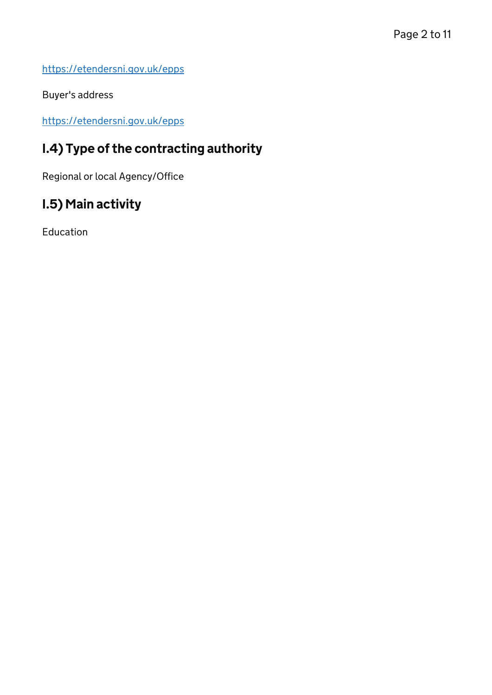<https://etendersni.gov.uk/epps>

Buyer's address

<https://etendersni.gov.uk/epps>

# I.4) Type of the contracting authority

Regional or local Agency/Office

# I.5) Main activity

Education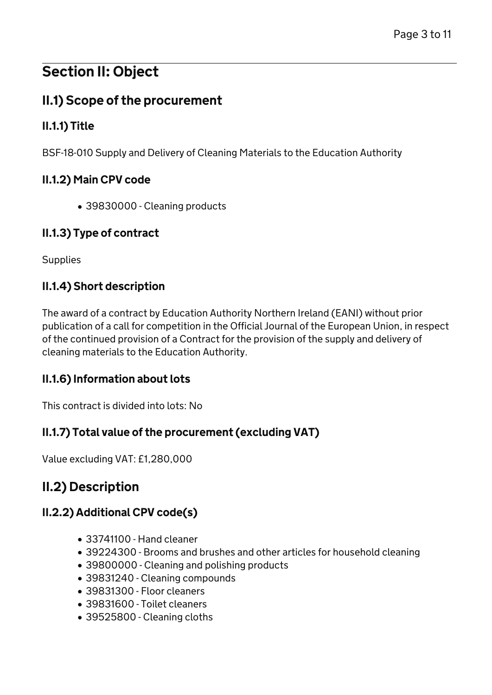# Section II: Object

# II.1) Scope of the procurement

## II.1.1) Title

BSF-18-010 Supply and Delivery of Cleaning Materials to the Education Authority

### II.1.2) Main CPV code

39830000 - Cleaning products

### II.1.3) Type of contract

**Supplies** 

### II.1.4) Short description

The award of a contract by Education Authority Northern Ireland (EANI) without prior publication of a call for competition in the Official Journal of the European Union, in respect of the continued provision of a Contract for the provision of the supply and delivery of cleaning materials to the Education Authority.

### II.1.6) Information about lots

This contract is divided into lots: No

### II.1.7) Total value of the procurement (excluding VAT)

Value excluding VAT: £1,280,000

# II.2) Description

## II.2.2) Additional CPV code(s)

- 33741100 Hand cleaner
- 39224300 Brooms and brushes and other articles for household cleaning
- 39800000 Cleaning and polishing products
- 39831240 Cleaning compounds
- 39831300 Floor cleaners
- 39831600 Toilet cleaners
- 39525800 Cleaning cloths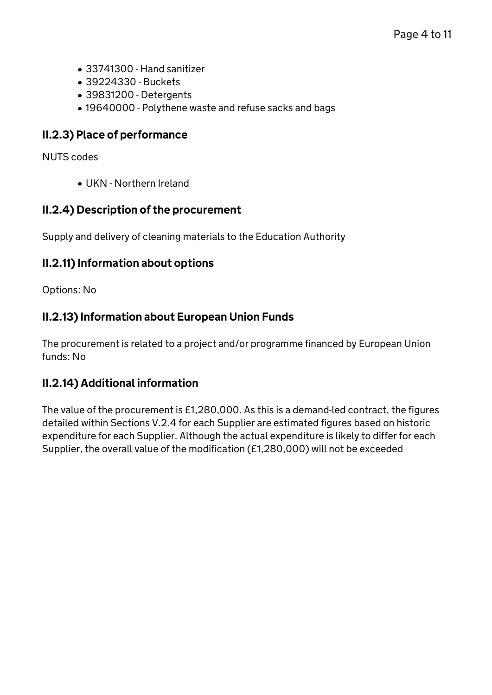- 33741300 Hand sanitizer
- 39224330 Buckets
- 39831200 Detergents
- 19640000 Polythene waste and refuse sacks and bags

#### II.2.3) Place of performance

NUTS codes

UKN - Northern Ireland

#### II.2.4) Description of the procurement

Supply and delivery of cleaning materials to the Education Authority

#### II.2.11) Information about options

Options: No

#### II.2.13) Information about European Union Funds

The procurement is related to a project and/or programme financed by European Union funds: No

#### II.2.14) Additional information

The value of the procurement is £1,280,000. As this is a demand-led contract, the figures detailed within Sections V.2.4 for each Supplier are estimated figures based on historic expenditure for each Supplier. Although the actual expenditure is likely to differ for each Supplier, the overall value of the modification (£1,280,000) will not be exceeded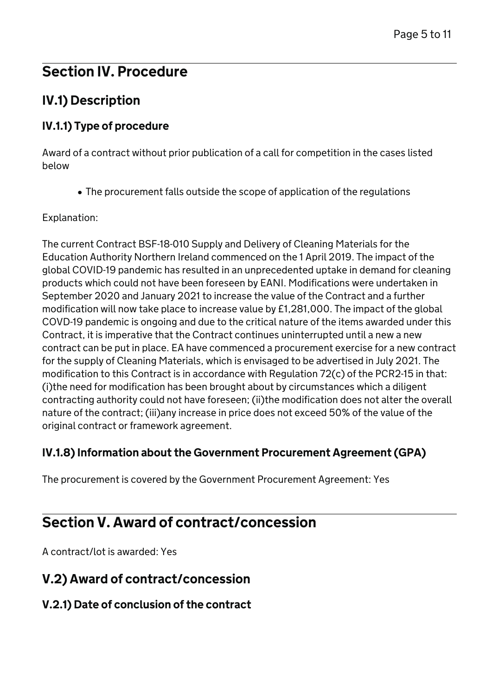# Section IV. Procedure

# IV.1) Description

### IV.1.1) Type of procedure

Award of a contract without prior publication of a call for competition in the cases listed below

The procurement falls outside the scope of application of the regulations

Explanation:

The current Contract BSF-18-010 Supply and Delivery of Cleaning Materials for the Education Authority Northern Ireland commenced on the 1 April 2019. The impact of the global COVID-19 pandemic has resulted in an unprecedented uptake in demand for cleaning products which could not have been foreseen by EANI. Modifications were undertaken in September 2020 and January 2021 to increase the value of the Contract and a further modification will now take place to increase value by £1,281,000. The impact of the global COVD-19 pandemic is ongoing and due to the critical nature of the items awarded under this Contract, it is imperative that the Contract continues uninterrupted until a new a new contract can be put in place. EA have commenced a procurement exercise for a new contract for the supply of Cleaning Materials, which is envisaged to be advertised in July 2021. The modification to this Contract is in accordance with Regulation 72(c) of the PCR2-15 in that: (i)the need for modification has been brought about by circumstances which a diligent contracting authority could not have foreseen; (ii)the modification does not alter the overall nature of the contract; (iii)any increase in price does not exceed 50% of the value of the original contract or framework agreement.

#### IV.1.8) Information about the Government Procurement Agreement (GPA)

The procurement is covered by the Government Procurement Agreement: Yes

# Section V. Award of contract/concession

A contract/lot is awarded: Yes

# V.2) Award of contract/concession

### V.2.1) Date of conclusion of the contract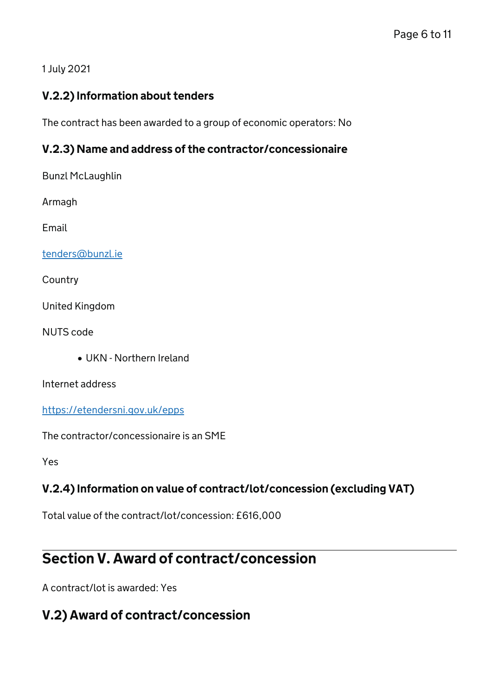#### 1 July 2021

#### V.2.2) Information about tenders

The contract has been awarded to a group of economic operators: No

#### V.2.3) Name and address of the contractor/concessionaire

Bunzl McLaughlin

Armagh

Email

[tenders@bunzl.ie](mailto:tenders@bunzl.ie)

Country

United Kingdom

NUTS code

UKN - Northern Ireland

Internet address

<https://etendersni.gov.uk/epps>

The contractor/concessionaire is an SME

Yes

### V.2.4) Information on value of contract/lot/concession (excluding VAT)

Total value of the contract/lot/concession: £616,000

# Section V. Award of contract/concession

A contract/lot is awarded: Yes

## V.2) Award of contract/concession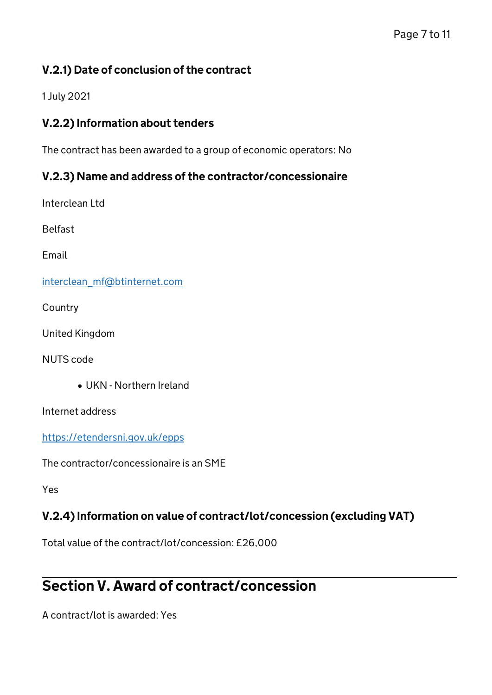### V.2.1) Date of conclusion of the contract

1 July 2021

#### V.2.2) Information about tenders

The contract has been awarded to a group of economic operators: No

#### V.2.3) Name and address of the contractor/concessionaire

Interclean Ltd

Belfast

Email

[interclean\\_mf@btinternet.com](mailto:interclean_mf@btinternet.com)

**Country** 

United Kingdom

NUTS code

UKN - Northern Ireland

Internet address

<https://etendersni.gov.uk/epps>

The contractor/concessionaire is an SME

Yes

#### V.2.4) Information on value of contract/lot/concession (excluding VAT)

Total value of the contract/lot/concession: £26,000

# Section V. Award of contract/concession

A contract/lot is awarded: Yes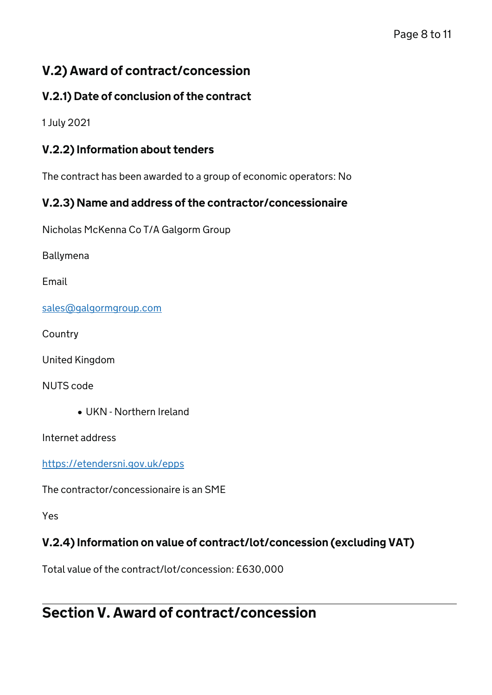# V.2) Award of contract/concession

## V.2.1) Date of conclusion of the contract

1 July 2021

### V.2.2) Information about tenders

The contract has been awarded to a group of economic operators: No

### V.2.3) Name and address of the contractor/concessionaire

Nicholas McKenna Co T/A Galgorm Group

Ballymena

Email

[sales@galgormgroup.com](mailto:sales@galgormgroup.com)

**Country** 

United Kingdom

NUTS code

UKN - Northern Ireland

Internet address

<https://etendersni.gov.uk/epps>

The contractor/concessionaire is an SME

Yes

## V.2.4) Information on value of contract/lot/concession (excluding VAT)

Total value of the contract/lot/concession: £630,000

# Section V. Award of contract/concession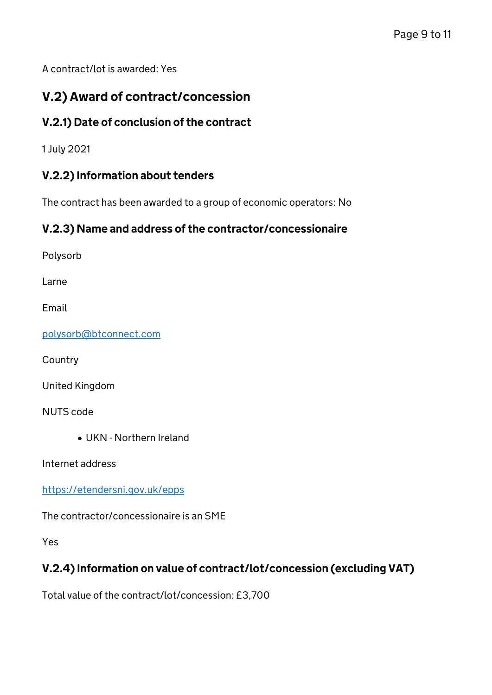A contract/lot is awarded: Yes

# V.2) Award of contract/concession

### V.2.1) Date of conclusion of the contract

1 July 2021

#### V.2.2) Information about tenders

The contract has been awarded to a group of economic operators: No

#### V.2.3) Name and address of the contractor/concessionaire

Polysorb

Larne

Email

[polysorb@btconnect.com](mailto:polysorb@btconnect.com)

**Country** 

United Kingdom

NUTS code

UKN - Northern Ireland

Internet address

<https://etendersni.gov.uk/epps>

The contractor/concessionaire is an SME

Yes

#### V.2.4) Information on value of contract/lot/concession (excluding VAT)

Total value of the contract/lot/concession: £3,700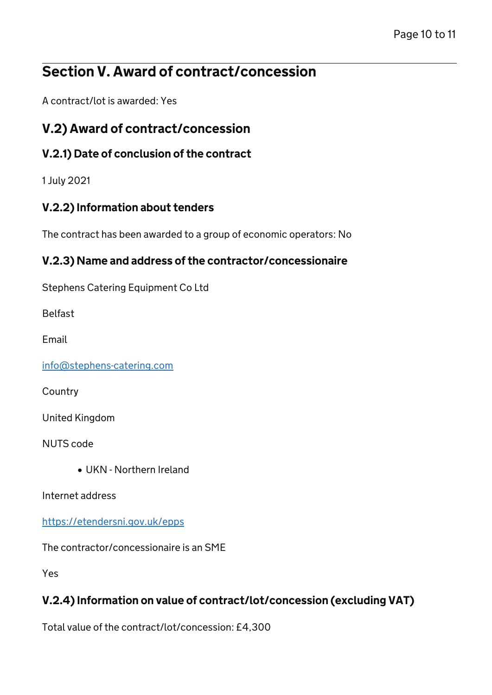# Section V. Award of contract/concession

A contract/lot is awarded: Yes

# V.2) Award of contract/concession

## V.2.1) Date of conclusion of the contract

1 July 2021

## V.2.2) Information about tenders

The contract has been awarded to a group of economic operators: No

### V.2.3) Name and address of the contractor/concessionaire

Stephens Catering Equipment Co Ltd

Belfast

Email

[info@stephens-catering.com](mailto:info@stephens-catering.com)

**Country** 

United Kingdom

NUTS code

UKN - Northern Ireland

Internet address

<https://etendersni.gov.uk/epps>

The contractor/concessionaire is an SME

Yes

# V.2.4) Information on value of contract/lot/concession (excluding VAT)

Total value of the contract/lot/concession: £4,300